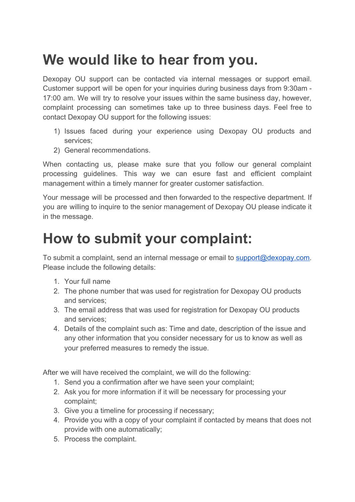## **We would like to hear from you.**

Dexopay OU support can be contacted via internal messages or support email. Customer support will be open for your inquiries during business days from 9:30am - 17:00 am. We will try to resolve your issues within the same business day, however, complaint processing can sometimes take up to three business days. Feel free to contact Dexopay OU support for the following issues:

- 1) Issues faced during your experience using Dexopay OU products and services;
- 2) General recommendations.

When contacting us, please make sure that you follow our general complaint processing guidelines. This way we can esure fast and efficient complaint management within a timely manner for greater customer satisfaction.

Your message will be processed and then forwarded to the respective department. If you are willing to inquire to the senior management of Dexopay OU please indicate it in the message.

## **How to submit your complaint:**

To submit a complaint, send an internal message or email to **[support@dexopay.com](mailto:support@octopuspays.com).** Please include the following details:

- 1. Your full name
- 2. The phone number that was used for registration for Dexopay OU products and services;
- 3. The email address that was used for registration for Dexopay OU products and services;
- 4. Details of the complaint such as: Time and date, description of the issue and any other information that you consider necessary for us to know as well as your preferred measures to remedy the issue.

After we will have received the complaint, we will do the following:

- 1. Send you a confirmation after we have seen your complaint;
- 2. Ask you for more information if it will be necessary for processing your complaint;
- 3. Give you a timeline for processing if necessary;
- 4. Provide you with a copy of your complaint if contacted by means that does not provide with one automatically;
- 5. Process the complaint.